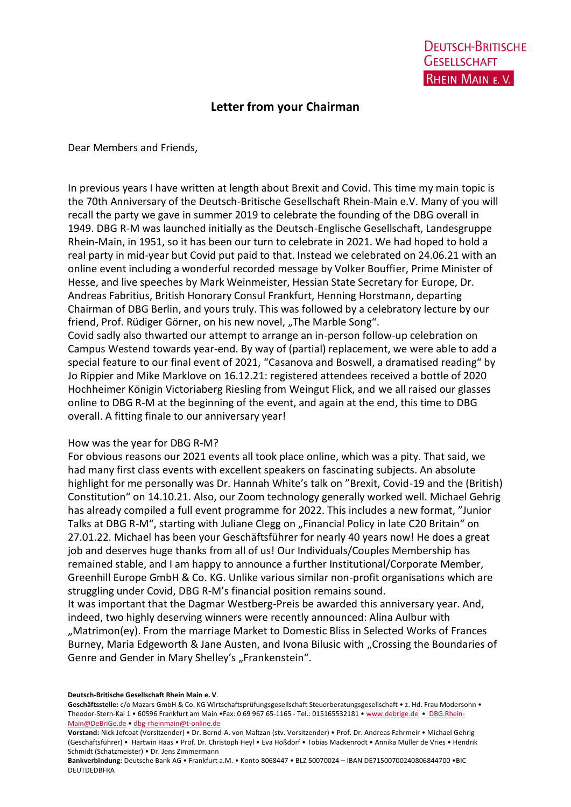## **Letter from your Chairman**

Dear Members and Friends,

In previous years I have written at length about Brexit and Covid. This time my main topic is the 70th Anniversary of the Deutsch-Britische Gesellschaft Rhein-Main e.V. Many of you will recall the party we gave in summer 2019 to celebrate the founding of the DBG overall in 1949. DBG R-M was launched initially as the Deutsch-Englische Gesellschaft, Landesgruppe Rhein-Main, in 1951, so it has been our turn to celebrate in 2021. We had hoped to hold a real party in mid-year but Covid put paid to that. Instead we celebrated on 24.06.21 with an online event including a wonderful recorded message by Volker Bouffier, Prime Minister of Hesse, and live speeches by Mark Weinmeister, Hessian State Secretary for Europe, Dr. Andreas Fabritius, British Honorary Consul Frankfurt, Henning Horstmann, departing Chairman of DBG Berlin, and yours truly. This was followed by a celebratory lecture by our friend, Prof. Rüdiger Görner, on his new novel, "The Marble Song".

Covid sadly also thwarted our attempt to arrange an in-person follow-up celebration on Campus Westend towards year-end. By way of (partial) replacement, we were able to add a special feature to our final event of 2021, "Casanova and Boswell, a dramatised reading" by Jo Rippier and Mike Marklove on 16.12.21: registered attendees received a bottle of 2020 Hochheimer Königin Victoriaberg Riesling from Weingut Flick, and we all raised our glasses online to DBG R-M at the beginning of the event, and again at the end, this time to DBG overall. A fitting finale to our anniversary year!

## How was the year for DBG R-M?

For obvious reasons our 2021 events all took place online, which was a pity. That said, we had many first class events with excellent speakers on fascinating subjects. An absolute highlight for me personally was Dr. Hannah White's talk on "Brexit, Covid-19 and the (British) Constitution" on 14.10.21. Also, our Zoom technology generally worked well. Michael Gehrig has already compiled a full event programme for 2022. This includes a new format, "Junior Talks at DBG R-M", starting with Juliane Clegg on "Financial Policy in late C20 Britain" on 27.01.22. Michael has been your Geschäftsführer for nearly 40 years now! He does a great job and deserves huge thanks from all of us! Our Individuals/Couples Membership has remained stable, and I am happy to announce a further Institutional/Corporate Member, Greenhill Europe GmbH & Co. KG. Unlike various similar non-profit organisations which are struggling under Covid, DBG R-M's financial position remains sound.

It was important that the Dagmar Westberg-Preis be awarded this anniversary year. And, indeed, two highly deserving winners were recently announced: Alina Aulbur with "Matrimon(ey). From the marriage Market to Domestic Bliss in Selected Works of Frances Burney, Maria Edgeworth & Jane Austen, and Ivona Bilusic with "Crossing the Boundaries of Genre and Gender in Mary Shelley's "Frankenstein".

## **Deutsch-Britische Gesellschaft Rhein Main e. V**.

Geschäftsstelle: c/o Mazars GmbH & Co. KG Wirtschaftsprüfungsgesellschaft Steuerberatungsgesellschaft • z. Hd. Frau Modersohn • Theodor-Stern-Kai 1 • 60596 Frankfurt am Main •Fax: 0 69 967 65-1165 - Tel.: 015165532181 • [www.debrige.de](http://www.debrige.de/) • [DBG.Rhein-](mailto:DBG.Rhein-Main@DeBriGe.de)[Main@DeBriGe.de](mailto:DBG.Rhein-Main@DeBriGe.de) • [dbg-rheinmain@t-online.de](mailto:dbg-rheinmain@t-online.de)

**Vorstand:** Nick Jefcoat (Vorsitzender) • Dr. Bernd-A. von Maltzan (stv. Vorsitzender) • Prof. Dr. Andreas Fahrmeir • Michael Gehrig (Geschäftsführer) • Hartwin Haas • Prof. Dr. Christoph Heyl • Eva Hoßdorf • Tobias Mackenrodt • Annika Müller de Vries • Hendrik Schmidt (Schatzmeister) • Dr. Jens Zimmermann

**Bankverbindung:** Deutsche Bank AG • Frankfurt a.M. • Konto 8068447 • BLZ 50070024 – IBAN DE71500700240806844700 •BIC DEUTDEDBFRA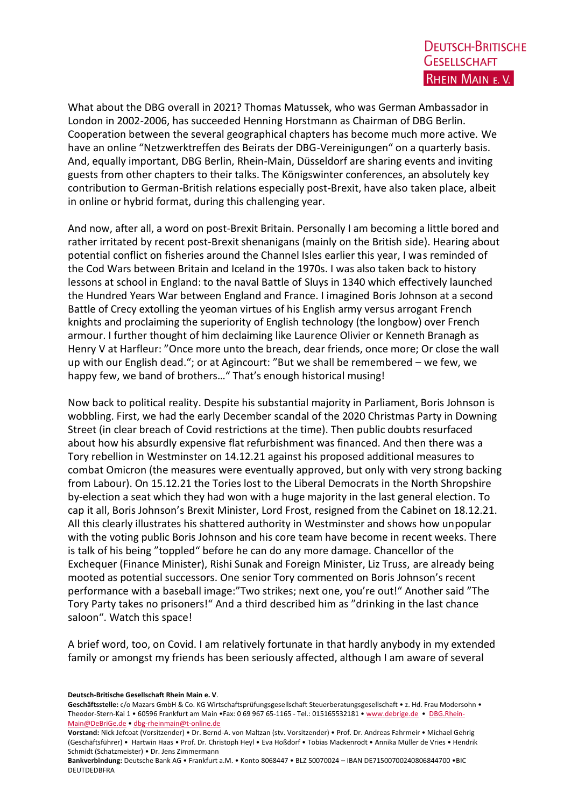What about the DBG overall in 2021? Thomas Matussek, who was German Ambassador in London in 2002-2006, has succeeded Henning Horstmann as Chairman of DBG Berlin. Cooperation between the several geographical chapters has become much more active. We have an online "Netzwerktreffen des Beirats der DBG-Vereinigungen" on a quarterly basis. And, equally important, DBG Berlin, Rhein-Main, Düsseldorf are sharing events and inviting guests from other chapters to their talks. The Königswinter conferences, an absolutely key contribution to German-British relations especially post-Brexit, have also taken place, albeit in online or hybrid format, during this challenging year.

And now, after all, a word on post-Brexit Britain. Personally I am becoming a little bored and rather irritated by recent post-Brexit shenanigans (mainly on the British side). Hearing about potential conflict on fisheries around the Channel Isles earlier this year, I was reminded of the Cod Wars between Britain and Iceland in the 1970s. I was also taken back to history lessons at school in England: to the naval Battle of Sluys in 1340 which effectively launched the Hundred Years War between England and France. I imagined Boris Johnson at a second Battle of Crecy extolling the yeoman virtues of his English army versus arrogant French knights and proclaiming the superiority of English technology (the longbow) over French armour. I further thought of him declaiming like Laurence Olivier or Kenneth Branagh as Henry V at Harfleur: "Once more unto the breach, dear friends, once more; Or close the wall up with our English dead."; or at Agincourt: "But we shall be remembered – we few, we happy few, we band of brothers…" That's enough historical musing!

Now back to political reality. Despite his substantial majority in Parliament, Boris Johnson is wobbling. First, we had the early December scandal of the 2020 Christmas Party in Downing Street (in clear breach of Covid restrictions at the time). Then public doubts resurfaced about how his absurdly expensive flat refurbishment was financed. And then there was a Tory rebellion in Westminster on 14.12.21 against his proposed additional measures to combat Omicron (the measures were eventually approved, but only with very strong backing from Labour). On 15.12.21 the Tories lost to the Liberal Democrats in the North Shropshire by-election a seat which they had won with a huge majority in the last general election. To cap it all, Boris Johnson's Brexit Minister, Lord Frost, resigned from the Cabinet on 18.12.21. All this clearly illustrates his shattered authority in Westminster and shows how unpopular with the voting public Boris Johnson and his core team have become in recent weeks. There is talk of his being "toppled" before he can do any more damage. Chancellor of the Exchequer (Finance Minister), Rishi Sunak and Foreign Minister, Liz Truss, are already being mooted as potential successors. One senior Tory commented on Boris Johnson's recent performance with a baseball image:"Two strikes; next one, you're out!" Another said "The Tory Party takes no prisoners!" And a third described him as "drinking in the last chance saloon". Watch this space!

A brief word, too, on Covid. I am relatively fortunate in that hardly anybody in my extended family or amongst my friends has been seriously affected, although I am aware of several

**Deutsch-Britische Gesellschaft Rhein Main e. V**.

Geschäftsstelle: c/o Mazars GmbH & Co. KG Wirtschaftsprüfungsgesellschaft Steuerberatungsgesellschaft • z. Hd. Frau Modersohn • Theodor-Stern-Kai 1 • 60596 Frankfurt am Main •Fax: 0 69 967 65-1165 - Tel.: 015165532181 • [www.debrige.de](http://www.debrige.de/) • [DBG.Rhein-](mailto:DBG.Rhein-Main@DeBriGe.de)[Main@DeBriGe.de](mailto:DBG.Rhein-Main@DeBriGe.de) • [dbg-rheinmain@t-online.de](mailto:dbg-rheinmain@t-online.de)

**Vorstand:** Nick Jefcoat (Vorsitzender) • Dr. Bernd-A. von Maltzan (stv. Vorsitzender) • Prof. Dr. Andreas Fahrmeir • Michael Gehrig (Geschäftsführer) • Hartwin Haas • Prof. Dr. Christoph Heyl • Eva Hoßdorf • Tobias Mackenrodt • Annika Müller de Vries • Hendrik Schmidt (Schatzmeister) • Dr. Jens Zimmermann

**Bankverbindung:** Deutsche Bank AG • Frankfurt a.M. • Konto 8068447 • BLZ 50070024 – IBAN DE71500700240806844700 •BIC DEUTDEDBFRA